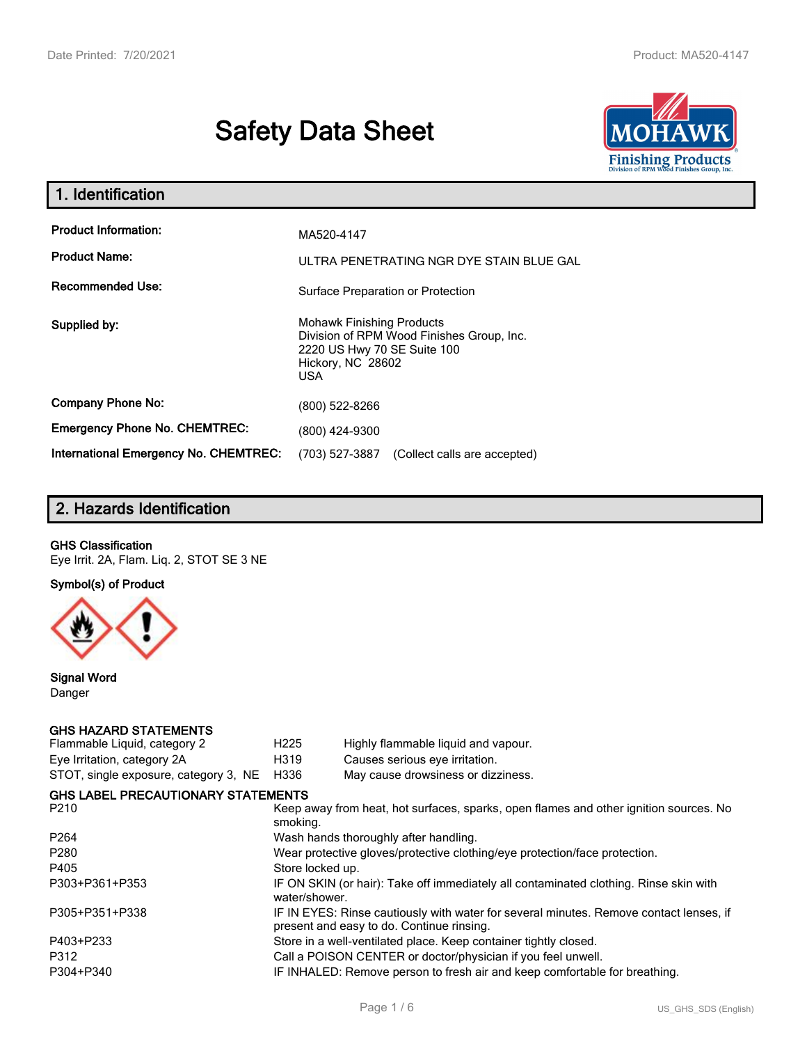# **Safety Data Sheet**



| 1. Identification                                   |                                                                                                                                                 |  |  |  |  |
|-----------------------------------------------------|-------------------------------------------------------------------------------------------------------------------------------------------------|--|--|--|--|
| <b>Product Information:</b><br><b>Product Name:</b> | MA520-4147<br>ULTRA PENETRATING NGR DYE STAIN BLUE GAL                                                                                          |  |  |  |  |
| <b>Recommended Use:</b>                             | Surface Preparation or Protection                                                                                                               |  |  |  |  |
| Supplied by:                                        | <b>Mohawk Finishing Products</b><br>Division of RPM Wood Finishes Group, Inc.<br>2220 US Hwy 70 SE Suite 100<br>Hickory, NC 28602<br><b>USA</b> |  |  |  |  |
| <b>Company Phone No:</b>                            | (800) 522-8266                                                                                                                                  |  |  |  |  |
| <b>Emergency Phone No. CHEMTREC:</b>                | (800) 424-9300                                                                                                                                  |  |  |  |  |
| <b>International Emergency No. CHEMTREC:</b>        | (703) 527-3887<br>(Collect calls are accepted)                                                                                                  |  |  |  |  |

# **2. Hazards Identification**

#### **GHS Classification**

Eye Irrit. 2A, Flam. Liq. 2, STOT SE 3 NE

**Symbol(s) of Product**



**Signal Word** Danger

#### **GHS HAZARD STATEMENTS**

| H <sub>225</sub>                                                                                                      | Highly flammable liquid and vapour.                                                                                                 |  |  |  |
|-----------------------------------------------------------------------------------------------------------------------|-------------------------------------------------------------------------------------------------------------------------------------|--|--|--|
| H319                                                                                                                  | Causes serious eye irritation.                                                                                                      |  |  |  |
| H336                                                                                                                  | May cause drowsiness or dizziness.                                                                                                  |  |  |  |
|                                                                                                                       |                                                                                                                                     |  |  |  |
| Keep away from heat, hot surfaces, sparks, open flames and other ignition sources. No<br>P <sub>210</sub><br>smoking. |                                                                                                                                     |  |  |  |
|                                                                                                                       | Wash hands thoroughly after handling.                                                                                               |  |  |  |
|                                                                                                                       | Wear protective gloves/protective clothing/eye protection/face protection.                                                          |  |  |  |
| Store locked up.                                                                                                      |                                                                                                                                     |  |  |  |
| water/shower.                                                                                                         | IF ON SKIN (or hair): Take off immediately all contaminated clothing. Rinse skin with                                               |  |  |  |
|                                                                                                                       | IF IN EYES: Rinse cautiously with water for several minutes. Remove contact lenses, if<br>present and easy to do. Continue rinsing. |  |  |  |
|                                                                                                                       | Store in a well-ventilated place. Keep container tightly closed.                                                                    |  |  |  |
|                                                                                                                       | Call a POISON CENTER or doctor/physician if you feel unwell.                                                                        |  |  |  |
|                                                                                                                       | IF INHALED: Remove person to fresh air and keep comfortable for breathing.                                                          |  |  |  |
|                                                                                                                       | <b>GHS LABEL PRECAUTIONARY STATEMENTS</b>                                                                                           |  |  |  |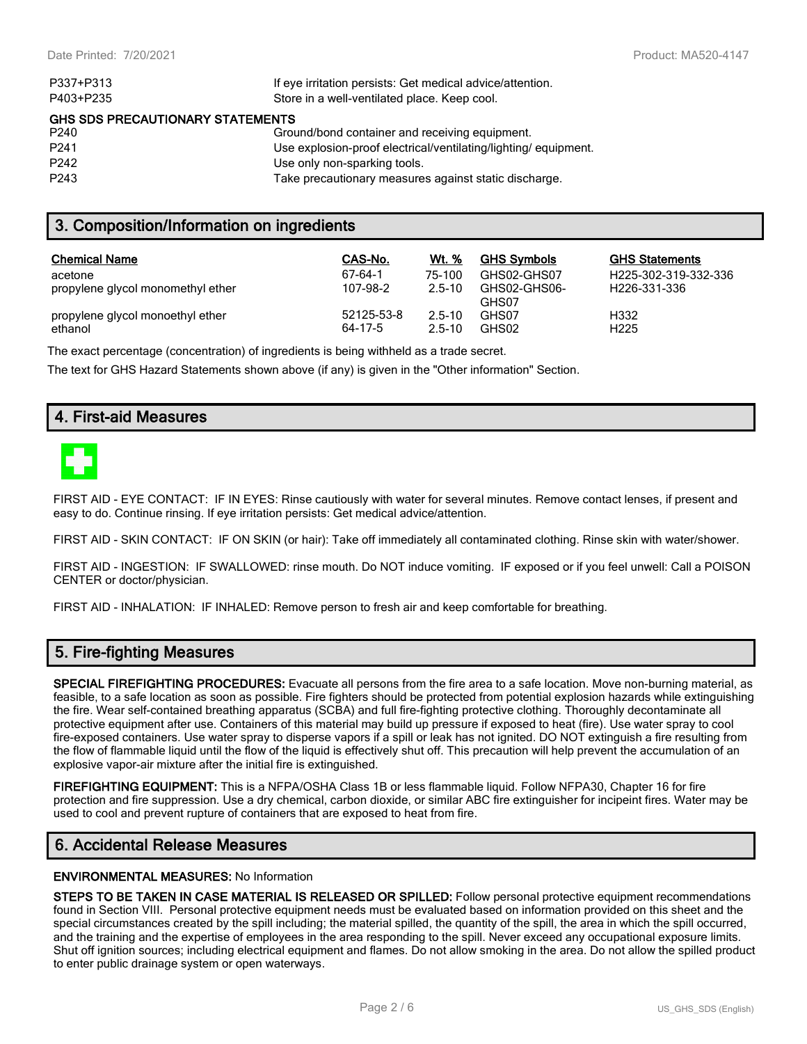| P337+P313                                                 | If eye irritation persists: Get medical advice/attention.      |  |  |  |
|-----------------------------------------------------------|----------------------------------------------------------------|--|--|--|
| P403+P235<br>Store in a well-ventilated place. Keep cool. |                                                                |  |  |  |
| <b>GHS SDS PRECAUTIONARY STATEMENTS</b>                   |                                                                |  |  |  |
| P <sub>240</sub>                                          | Ground/bond container and receiving equipment.                 |  |  |  |
| P <sub>241</sub>                                          | Use explosion-proof electrical/ventilating/lighting/equipment. |  |  |  |
| P <sub>242</sub>                                          | Use only non-sparking tools.                                   |  |  |  |
| P <sub>243</sub>                                          | Take precautionary measures against static discharge.          |  |  |  |

### **3. Composition/Information on ingredients**

| <b>Chemical Name</b>              | CAS-No.    | Wt. %      | <b>GHS Symbols</b>    | <b>GHS Statements</b>             |
|-----------------------------------|------------|------------|-----------------------|-----------------------------------|
| acetone                           | 67-64-1    | 75-100     | GHS02-GHS07           | H <sub>225</sub> -302-319-332-336 |
| propylene glycol monomethyl ether | 107-98-2   | $2.5 - 10$ | GHS02-GHS06-<br>GHS07 | H <sub>226</sub> -331-336         |
| propylene glycol monoethyl ether  | 52125-53-8 | $2.5 - 10$ | GHS07                 | H332                              |
| ethanol                           | 64-17-5    | $2.5 - 10$ | GHS02                 | H <sub>225</sub>                  |

The exact percentage (concentration) of ingredients is being withheld as a trade secret.

The text for GHS Hazard Statements shown above (if any) is given in the "Other information" Section.

## **4. First-aid Measures**



FIRST AID - EYE CONTACT: IF IN EYES: Rinse cautiously with water for several minutes. Remove contact lenses, if present and easy to do. Continue rinsing. If eye irritation persists: Get medical advice/attention.

FIRST AID - SKIN CONTACT: IF ON SKIN (or hair): Take off immediately all contaminated clothing. Rinse skin with water/shower.

FIRST AID - INGESTION: IF SWALLOWED: rinse mouth. Do NOT induce vomiting. IF exposed or if you feel unwell: Call a POISON CENTER or doctor/physician.

FIRST AID - INHALATION: IF INHALED: Remove person to fresh air and keep comfortable for breathing.

# **5. Fire-fighting Measures**

**SPECIAL FIREFIGHTING PROCEDURES:** Evacuate all persons from the fire area to a safe location. Move non-burning material, as feasible, to a safe location as soon as possible. Fire fighters should be protected from potential explosion hazards while extinguishing the fire. Wear self-contained breathing apparatus (SCBA) and full fire-fighting protective clothing. Thoroughly decontaminate all protective equipment after use. Containers of this material may build up pressure if exposed to heat (fire). Use water spray to cool fire-exposed containers. Use water spray to disperse vapors if a spill or leak has not ignited. DO NOT extinguish a fire resulting from the flow of flammable liquid until the flow of the liquid is effectively shut off. This precaution will help prevent the accumulation of an explosive vapor-air mixture after the initial fire is extinguished.

**FIREFIGHTING EQUIPMENT:** This is a NFPA/OSHA Class 1B or less flammable liquid. Follow NFPA30, Chapter 16 for fire protection and fire suppression. Use a dry chemical, carbon dioxide, or similar ABC fire extinguisher for incipeint fires. Water may be used to cool and prevent rupture of containers that are exposed to heat from fire.

#### **6. Accidental Release Measures**

#### **ENVIRONMENTAL MEASURES:** No Information

**STEPS TO BE TAKEN IN CASE MATERIAL IS RELEASED OR SPILLED:** Follow personal protective equipment recommendations found in Section VIII. Personal protective equipment needs must be evaluated based on information provided on this sheet and the special circumstances created by the spill including; the material spilled, the quantity of the spill, the area in which the spill occurred, and the training and the expertise of employees in the area responding to the spill. Never exceed any occupational exposure limits. Shut off ignition sources; including electrical equipment and flames. Do not allow smoking in the area. Do not allow the spilled product to enter public drainage system or open waterways.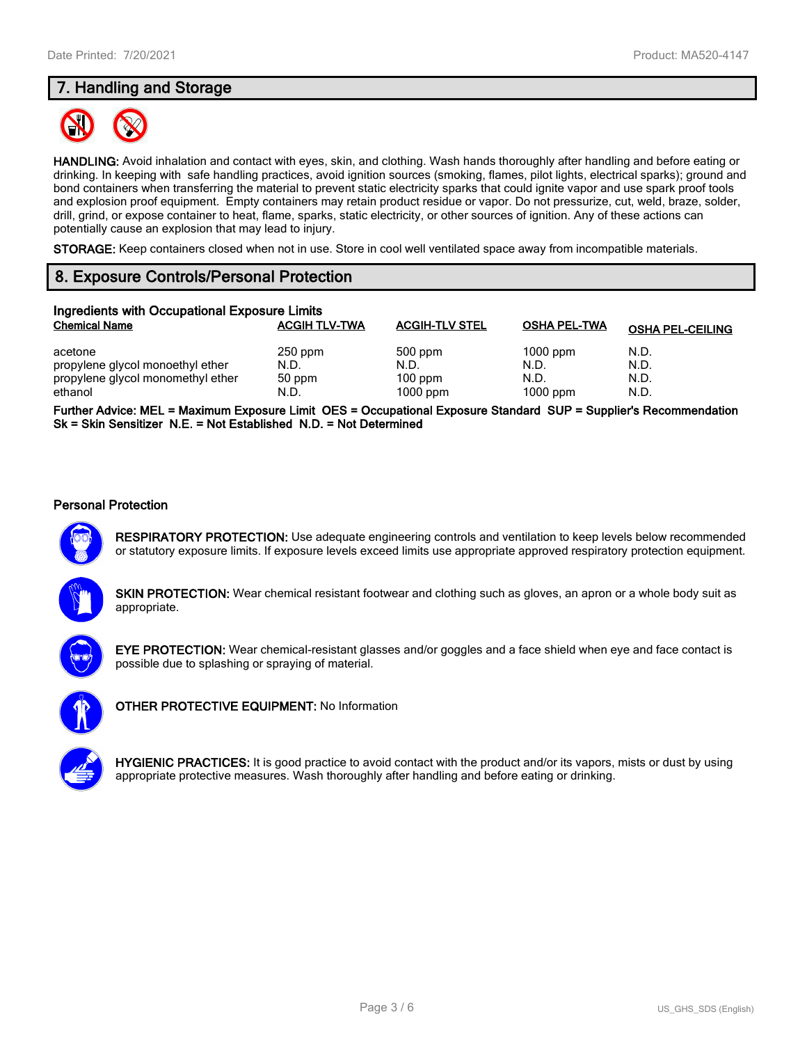# **7. Handling and Storage**



**HANDLING:** Avoid inhalation and contact with eyes, skin, and clothing. Wash hands thoroughly after handling and before eating or drinking. In keeping with safe handling practices, avoid ignition sources (smoking, flames, pilot lights, electrical sparks); ground and bond containers when transferring the material to prevent static electricity sparks that could ignite vapor and use spark proof tools and explosion proof equipment. Empty containers may retain product residue or vapor. Do not pressurize, cut, weld, braze, solder, drill, grind, or expose container to heat, flame, sparks, static electricity, or other sources of ignition. Any of these actions can potentially cause an explosion that may lead to injury.

**STORAGE:** Keep containers closed when not in use. Store in cool well ventilated space away from incompatible materials.

# **8. Exposure Controls/Personal Protection**

| Ingredients with Occupational Exposure Limits                                               |                                     |                                            |                                          |                              |  |  |
|---------------------------------------------------------------------------------------------|-------------------------------------|--------------------------------------------|------------------------------------------|------------------------------|--|--|
| <b>Chemical Name</b>                                                                        | <b>ACGIH TLV-TWA</b>                | <b>ACGIH-TLV STEL</b>                      | <b>OSHA PEL-TWA</b>                      | <b>OSHA PEL-CEILING</b>      |  |  |
| acetone<br>propylene glycol monoethyl ether<br>propylene glycol monomethyl ether<br>ethanol | $250$ ppm<br>N.D.<br>50 ppm<br>N.D. | 500 ppm<br>N.D.<br>$100$ ppm<br>$1000$ ppm | $1000$ ppm<br>N.D.<br>N.D.<br>$1000$ ppm | N.D.<br>N.D.<br>N.D.<br>N.D. |  |  |

**Further Advice: MEL = Maximum Exposure Limit OES = Occupational Exposure Standard SUP = Supplier's Recommendation Sk = Skin Sensitizer N.E. = Not Established N.D. = Not Determined**

#### **Personal Protection**



**RESPIRATORY PROTECTION:** Use adequate engineering controls and ventilation to keep levels below recommended or statutory exposure limits. If exposure levels exceed limits use appropriate approved respiratory protection equipment.

**SKIN PROTECTION:** Wear chemical resistant footwear and clothing such as gloves, an apron or a whole body suit as appropriate.



**EYE PROTECTION:** Wear chemical-resistant glasses and/or goggles and a face shield when eye and face contact is possible due to splashing or spraying of material.



**OTHER PROTECTIVE EQUIPMENT:** No Information



**HYGIENIC PRACTICES:** It is good practice to avoid contact with the product and/or its vapors, mists or dust by using appropriate protective measures. Wash thoroughly after handling and before eating or drinking.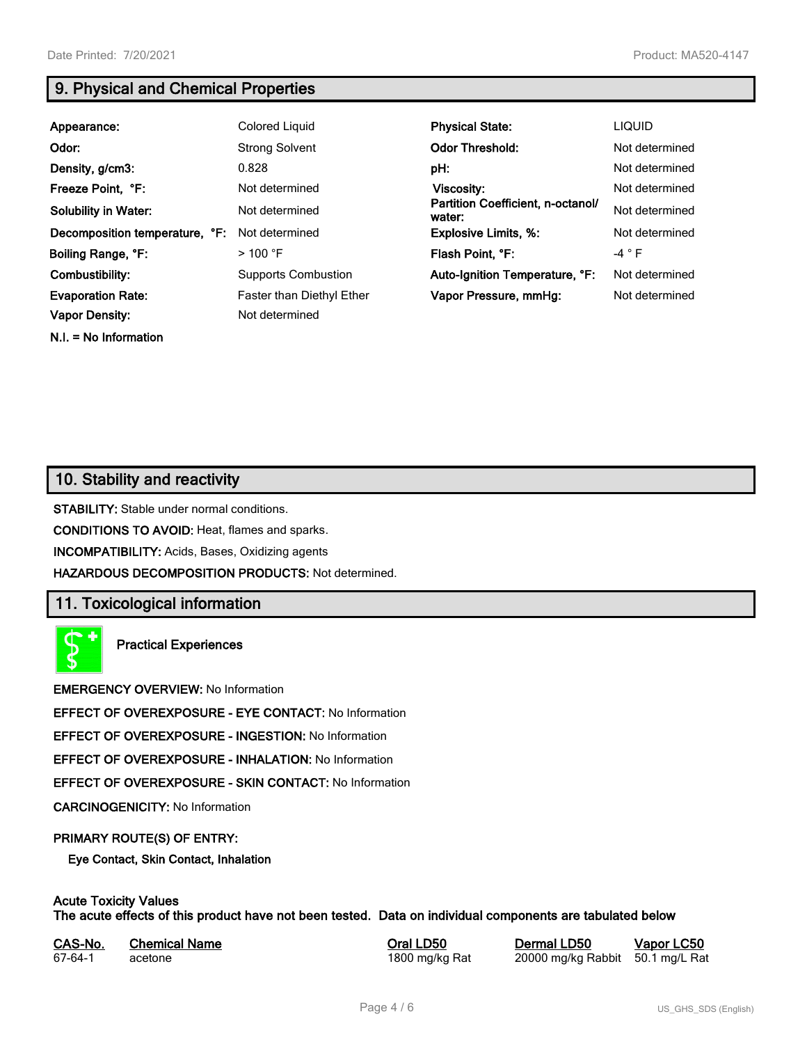**N.I. = No Information**

# **9. Physical and Chemical Properties**

| Appearance:                    | Colored Liquid             | <b>Physical State:</b>                      | <b>LIQUID</b>  |
|--------------------------------|----------------------------|---------------------------------------------|----------------|
| Odor:                          | <b>Strong Solvent</b>      | <b>Odor Threshold:</b>                      | Not determined |
| Density, g/cm3:                | 0.828                      | pH:                                         | Not determined |
| Freeze Point, °F:              | Not determined             | <b>Viscosity:</b>                           | Not determined |
| <b>Solubility in Water:</b>    | Not determined             | Partition Coefficient, n-octanol/<br>water: | Not determined |
| Decomposition temperature, °F: | Not determined             | <b>Explosive Limits, %:</b>                 | Not determined |
| Boiling Range, °F:             | $>100$ °F                  | Flash Point, °F:                            | $-4 ° F$       |
| Combustibility:                | <b>Supports Combustion</b> | Auto-Ignition Temperature, °F:              | Not determined |
| <b>Evaporation Rate:</b>       | Faster than Diethyl Ether  | Vapor Pressure, mmHg:                       | Not determined |
| <b>Vapor Density:</b>          | Not determined             |                                             |                |

# **10. Stability and reactivity**

**STABILITY:** Stable under normal conditions.

**CONDITIONS TO AVOID:** Heat, flames and sparks.

**INCOMPATIBILITY:** Acids, Bases, Oxidizing agents

**HAZARDOUS DECOMPOSITION PRODUCTS:** Not determined.

# **11. Toxicological information**

**Practical Experiences**

**EMERGENCY OVERVIEW:** No Information

**EFFECT OF OVEREXPOSURE - EYE CONTACT:** No Information

**EFFECT OF OVEREXPOSURE - INGESTION:** No Information

**EFFECT OF OVEREXPOSURE - INHALATION:** No Information

**EFFECT OF OVEREXPOSURE - SKIN CONTACT:** No Information

**CARCINOGENICITY:** No Information

#### **PRIMARY ROUTE(S) OF ENTRY:**

**Eye Contact, Skin Contact, Inhalation**

# **Acute Toxicity Values**

**The acute effects of this product have not been tested. Data on individual components are tabulated below**

| CAS-No. | <b>Chemical Name</b> |
|---------|----------------------|
| 67-64-1 | acetone              |

**Casary Chemical Chemical LD50 Chemical LD50 Vapor LC50** 1800 mg/kg Rat 20000 mg/kg Rabbit 50.1 mg/L Rat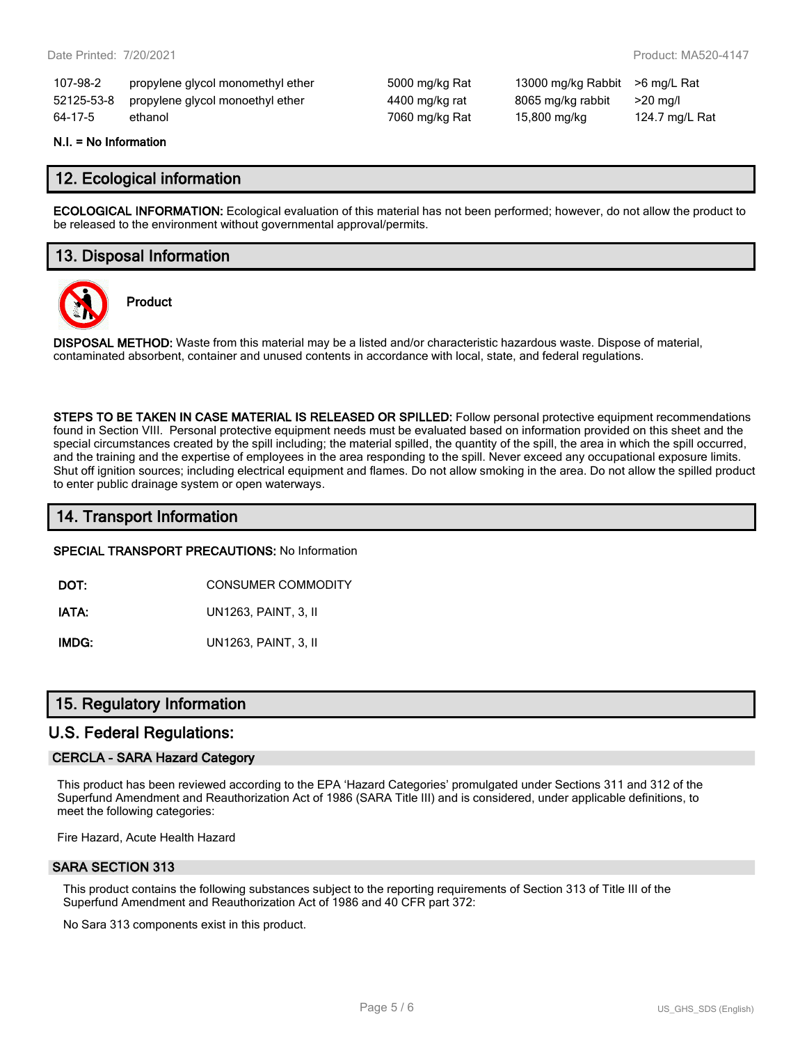| 107-98-2   | propylene glycol monomethyl ether | 5000 |
|------------|-----------------------------------|------|
| 52125-53-8 | propylene glycol monoethyl ether  | 4400 |
| 64-17-5    | ethanol                           | 7060 |

mg/kg Rat 13000 mg/kg Rabbit >6 mg/L Rat mg/kg rat 8065 mg/kg rabbit >20 mg/l mg/kg Rat 15,800 mg/kg 124.7 mg/L Rat

#### **N.I. = No Information**

## **12. Ecological information**

**ECOLOGICAL INFORMATION:** Ecological evaluation of this material has not been performed; however, do not allow the product to be released to the environment without governmental approval/permits.

# **13. Disposal Information**



**Product**

**DISPOSAL METHOD:** Waste from this material may be a listed and/or characteristic hazardous waste. Dispose of material, contaminated absorbent, container and unused contents in accordance with local, state, and federal regulations.

**STEPS TO BE TAKEN IN CASE MATERIAL IS RELEASED OR SPILLED:** Follow personal protective equipment recommendations found in Section VIII. Personal protective equipment needs must be evaluated based on information provided on this sheet and the special circumstances created by the spill including; the material spilled, the quantity of the spill, the area in which the spill occurred, and the training and the expertise of employees in the area responding to the spill. Never exceed any occupational exposure limits. Shut off ignition sources; including electrical equipment and flames. Do not allow smoking in the area. Do not allow the spilled product to enter public drainage system or open waterways.

## **14. Transport Information**

#### **SPECIAL TRANSPORT PRECAUTIONS:** No Information

**DOT:** CONSUMER COMMODITY

**IATA:** UN1263, PAINT, 3, II

**IMDG:** UN1263, PAINT, 3, II

## **15. Regulatory Information**

#### **U.S. Federal Regulations:**

#### **CERCLA - SARA Hazard Category**

This product has been reviewed according to the EPA 'Hazard Categories' promulgated under Sections 311 and 312 of the Superfund Amendment and Reauthorization Act of 1986 (SARA Title III) and is considered, under applicable definitions, to meet the following categories:

Fire Hazard, Acute Health Hazard

#### **SARA SECTION 313**

This product contains the following substances subject to the reporting requirements of Section 313 of Title III of the Superfund Amendment and Reauthorization Act of 1986 and 40 CFR part 372:

No Sara 313 components exist in this product.